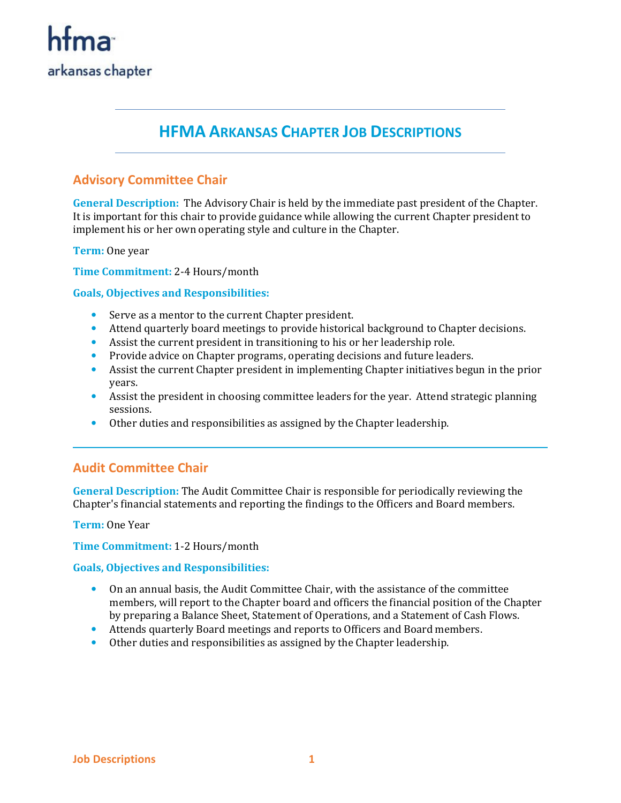

## **HFMA ARKANSAS CHAPTER JOB DESCRIPTIONS**

### **Advisory Committee Chair**

**General Description:** The Advisory Chair is held by the immediate past president of the Chapter. It is important for this chair to provide guidance while allowing the current Chapter president to implement his or her own operating style and culture in the Chapter.

**Term:** One year

**Time Commitment:** 2-4 Hours/month

**Goals, Objectives and Responsibilities:** 

- Serve as a mentor to the current Chapter president.
- Attend quarterly board meetings to provide historical background to Chapter decisions.
- Assist the current president in transitioning to his or her leadership role.
- Provide advice on Chapter programs, operating decisions and future leaders.
- Assist the current Chapter president in implementing Chapter initiatives begun in the prior years.
- Assist the president in choosing committee leaders for the year. Attend strategic planning sessions.
- Other duties and responsibilities as assigned by the Chapter leadership.

#### **Audit Committee Chair**

**General Description:** The Audit Committee Chair is responsible for periodically reviewing the Chapter's financial statements and reporting the findings to the Officers and Board members.

**Term:** One Year

**Time Commitment:** 1-2 Hours/month

- On an annual basis, the Audit Committee Chair, with the assistance of the committee members, will report to the Chapter board and officers the financial position of the Chapter by preparing a Balance Sheet, Statement of Operations, and a Statement of Cash Flows.
- Attends quarterly Board meetings and reports to Officers and Board members.
- Other duties and responsibilities as assigned by the Chapter leadership.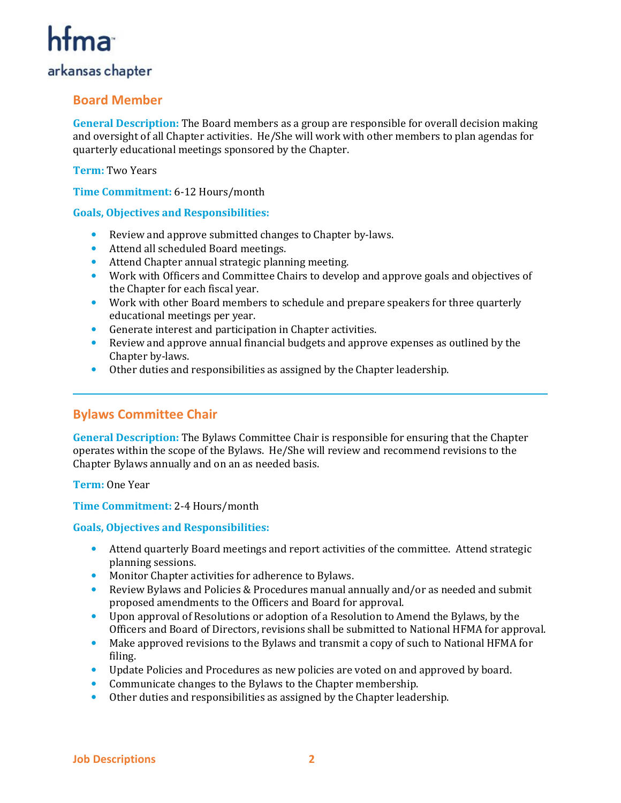## arkansas chapter

## **Board Member**

**General Description:** The Board members as a group are responsible for overall decision making and oversight of all Chapter activities. He/She will work with other members to plan agendas for quarterly educational meetings sponsored by the Chapter.

**Term:** Two Years

**Time Commitment:** 6-12 Hours/month

#### **Goals, Objectives and Responsibilities:**

- Review and approve submitted changes to Chapter by-laws.
- Attend all scheduled Board meetings.
- Attend Chapter annual strategic planning meeting.
- Work with Officers and Committee Chairs to develop and approve goals and objectives of the Chapter for each fiscal year.
- Work with other Board members to schedule and prepare speakers for three quarterly educational meetings per year.
- Generate interest and participation in Chapter activities.
- Review and approve annual financial budgets and approve expenses as outlined by the Chapter by-laws.
- Other duties and responsibilities as assigned by the Chapter leadership.

## **Bylaws Committee Chair**

**General Description:** The Bylaws Committee Chair is responsible for ensuring that the Chapter operates within the scope of the Bylaws. He/She will review and recommend revisions to the Chapter Bylaws annually and on an as needed basis.

**Term:** One Year

#### **Time Commitment:** 2-4 Hours/month

- Attend quarterly Board meetings and report activities of the committee. Attend strategic planning sessions.
- Monitor Chapter activities for adherence to Bylaws.
- Review Bylaws and Policies & Procedures manual annually and/or as needed and submit proposed amendments to the Officers and Board for approval.
- Upon approval of Resolutions or adoption of a Resolution to Amend the Bylaws, by the Officers and Board of Directors, revisions shall be submitted to National HFMA for approval.
- Make approved revisions to the Bylaws and transmit a copy of such to National HFMA for filing.
- Update Policies and Procedures as new policies are voted on and approved by board.
- Communicate changes to the Bylaws to the Chapter membership.
- Other duties and responsibilities as assigned by the Chapter leadership.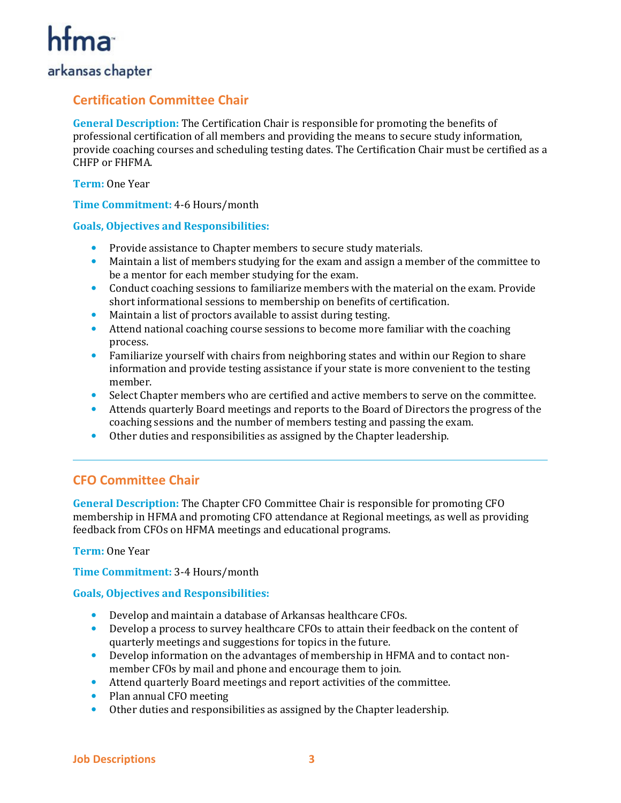## arkansas chapter

## **Certification Committee Chair**

**General Description:** The Certification Chair is responsible for promoting the benefits of professional certification of all members and providing the means to secure study information, provide coaching courses and scheduling testing dates. The Certification Chair must be certified as a CHFP or FHFMA.

**Term:** One Year

**Time Commitment:** 4-6 Hours/month

#### **Goals, Objectives and Responsibilities:**

- Provide assistance to Chapter members to secure study materials.
- Maintain a list of members studying for the exam and assign a member of the committee to be a mentor for each member studying for the exam.
- Conduct coaching sessions to familiarize members with the material on the exam. Provide short informational sessions to membership on benefits of certification.
- Maintain a list of proctors available to assist during testing.
- Attend national coaching course sessions to become more familiar with the coaching process.
- Familiarize yourself with chairs from neighboring states and within our Region to share information and provide testing assistance if your state is more convenient to the testing member.
- Select Chapter members who are certified and active members to serve on the committee.
- Attends quarterly Board meetings and reports to the Board of Directors the progress of the coaching sessions and the number of members testing and passing the exam.
- Other duties and responsibilities as assigned by the Chapter leadership.

## **CFO Committee Chair**

**General Description:** The Chapter CFO Committee Chair is responsible for promoting CFO membership in HFMA and promoting CFO attendance at Regional meetings, as well as providing feedback from CFOs on HFMA meetings and educational programs.

#### **Term:** One Year

**Time Commitment:** 3-4 Hours/month

- Develop and maintain a database of Arkansas healthcare CFOs.
- Develop a process to survey healthcare CFOs to attain their feedback on the content of quarterly meetings and suggestions for topics in the future.
- Develop information on the advantages of membership in HFMA and to contact nonmember CFOs by mail and phone and encourage them to join.
- Attend quarterly Board meetings and report activities of the committee.
- Plan annual CFO meeting
- Other duties and responsibilities as assigned by the Chapter leadership.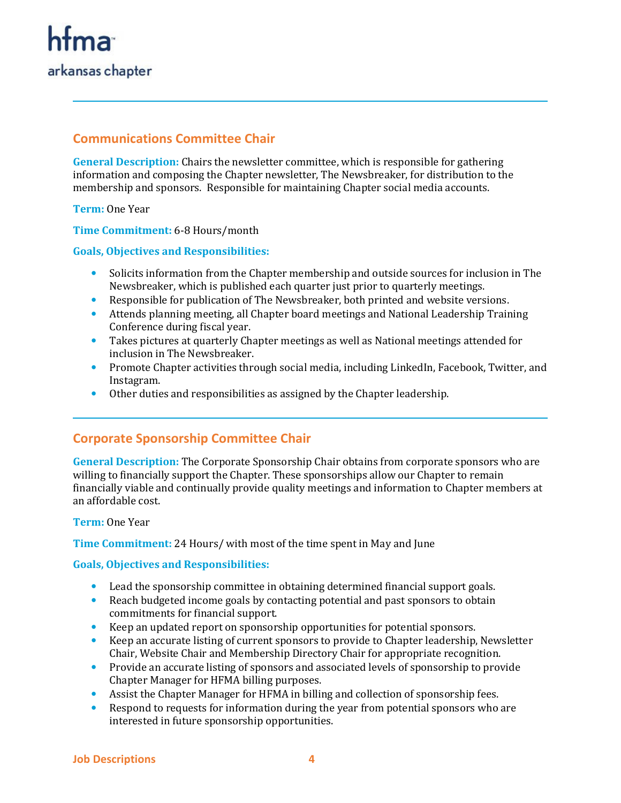

## **Communications Committee Chair**

**General Description:** Chairs the newsletter committee, which is responsible for gathering information and composing the Chapter newsletter, The Newsbreaker, for distribution to the membership and sponsors. Responsible for maintaining Chapter social media accounts.

**Term:** One Year

**Time Commitment:** 6-8 Hours/month

#### **Goals, Objectives and Responsibilities:**

- Solicits information from the Chapter membership and outside sources for inclusion in The Newsbreaker, which is published each quarter just prior to quarterly meetings.
- Responsible for publication of The Newsbreaker, both printed and website versions.
- Attends planning meeting, all Chapter board meetings and National Leadership Training Conference during fiscal year.
- Takes pictures at quarterly Chapter meetings as well as National meetings attended for inclusion in The Newsbreaker.
- Promote Chapter activities through social media, including LinkedIn, Facebook, Twitter, and Instagram.
- Other duties and responsibilities as assigned by the Chapter leadership.

## **Corporate Sponsorship Committee Chair**

**General Description:** The Corporate Sponsorship Chair obtains from corporate sponsors who are willing to financially support the Chapter. These sponsorships allow our Chapter to remain financially viable and continually provide quality meetings and information to Chapter members at an affordable cost.

#### **Term:** One Year

**Time Commitment:** 24 Hours/ with most of the time spent in May and June

- Lead the sponsorship committee in obtaining determined financial support goals.
- Reach budgeted income goals by contacting potential and past sponsors to obtain commitments for financial support.
- Keep an updated report on sponsorship opportunities for potential sponsors.
- Keep an accurate listing of current sponsors to provide to Chapter leadership, Newsletter Chair, Website Chair and Membership Directory Chair for appropriate recognition.
- Provide an accurate listing of sponsors and associated levels of sponsorship to provide Chapter Manager for HFMA billing purposes.
- Assist the Chapter Manager for HFMA in billing and collection of sponsorship fees.
- Respond to requests for information during the year from potential sponsors who are interested in future sponsorship opportunities.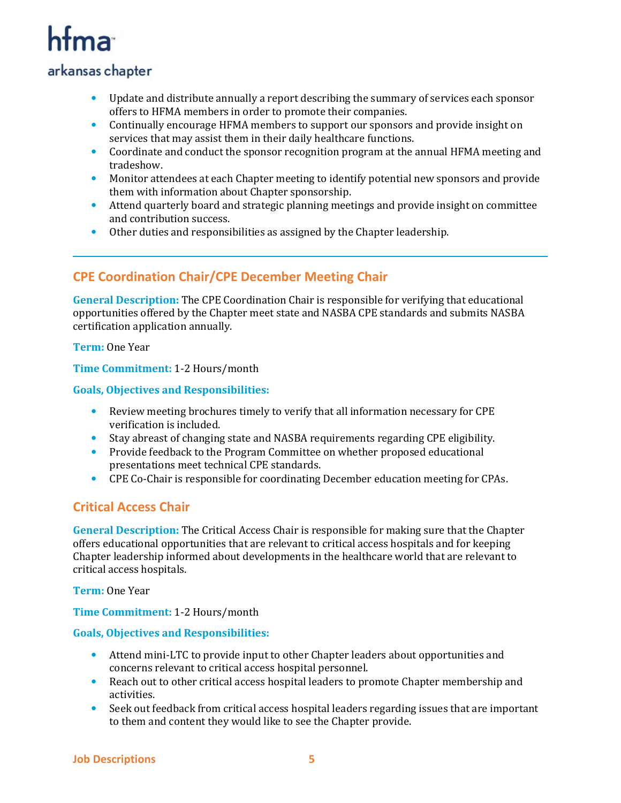## arkansas chapter

- Update and distribute annually a report describing the summary of services each sponsor offers to HFMA members in order to promote their companies.
- Continually encourage HFMA members to support our sponsors and provide insight on services that may assist them in their daily healthcare functions.
- Coordinate and conduct the sponsor recognition program at the annual HFMA meeting and tradeshow.
- Monitor attendees at each Chapter meeting to identify potential new sponsors and provide them with information about Chapter sponsorship.
- Attend quarterly board and strategic planning meetings and provide insight on committee and contribution success.
- Other duties and responsibilities as assigned by the Chapter leadership.

## **CPE Coordination Chair/CPE December Meeting Chair**

**General Description:** The CPE Coordination Chair is responsible for verifying that educational opportunities offered by the Chapter meet state and NASBA CPE standards and submits NASBA certification application annually.

**Term:** One Year

**Time Commitment:** 1-2 Hours/month

#### **Goals, Objectives and Responsibilities:**

- Review meeting brochures timely to verify that all information necessary for CPE verification is included.
- Stay abreast of changing state and NASBA requirements regarding CPE eligibility.
- Provide feedback to the Program Committee on whether proposed educational presentations meet technical CPE standards.
- CPE Co-Chair is responsible for coordinating December education meeting for CPAs.

## **Critical Access Chair**

**General Description:** The Critical Access Chair is responsible for making sure that the Chapter offers educational opportunities that are relevant to critical access hospitals and for keeping Chapter leadership informed about developments in the healthcare world that are relevant to critical access hospitals.

**Term:** One Year

**Time Commitment:** 1-2 Hours/month

- Attend mini-LTC to provide input to other Chapter leaders about opportunities and concerns relevant to critical access hospital personnel.
- Reach out to other critical access hospital leaders to promote Chapter membership and activities.
- Seek out feedback from critical access hospital leaders regarding issues that are important to them and content they would like to see the Chapter provide.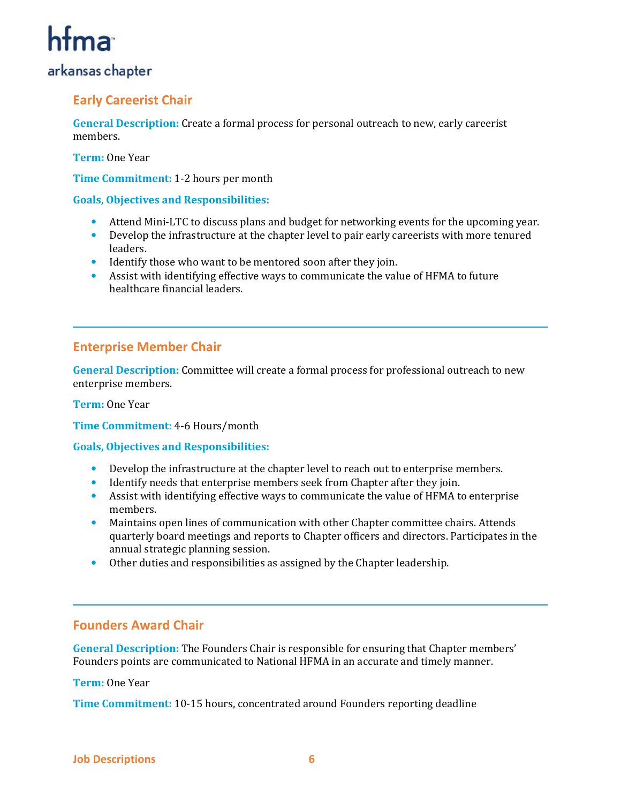## arkansas chapter

## **Early Careerist Chair**

**General Description:** Create a formal process for personal outreach to new, early careerist members.

**Term:** One Year

**Time Commitment:** 1-2 hours per month

#### **Goals, Objectives and Responsibilities:**

- Attend Mini-LTC to discuss plans and budget for networking events for the upcoming year.
- Develop the infrastructure at the chapter level to pair early careerists with more tenured leaders.
- Identify those who want to be mentored soon after they join.
- Assist with identifying effective ways to communicate the value of HFMA to future healthcare financial leaders.

### **Enterprise Member Chair**

**General Description:** Committee will create a formal process for professional outreach to new enterprise members.

**Term:** One Year

**Time Commitment:** 4-6 Hours/month

**Goals, Objectives and Responsibilities:** 

- Develop the infrastructure at the chapter level to reach out to enterprise members.
- Identify needs that enterprise members seek from Chapter after they join.
- Assist with identifying effective ways to communicate the value of HFMA to enterprise members.
- Maintains open lines of communication with other Chapter committee chairs. Attends quarterly board meetings and reports to Chapter officers and directors. Participates in the annual strategic planning session.
- Other duties and responsibilities as assigned by the Chapter leadership.

#### **Founders Award Chair**

**General Description:** The Founders Chair is responsible for ensuring that Chapter members' Founders points are communicated to National HFMA in an accurate and timely manner.

#### **Term:** One Year

**Time Commitment:** 10-15 hours, concentrated around Founders reporting deadline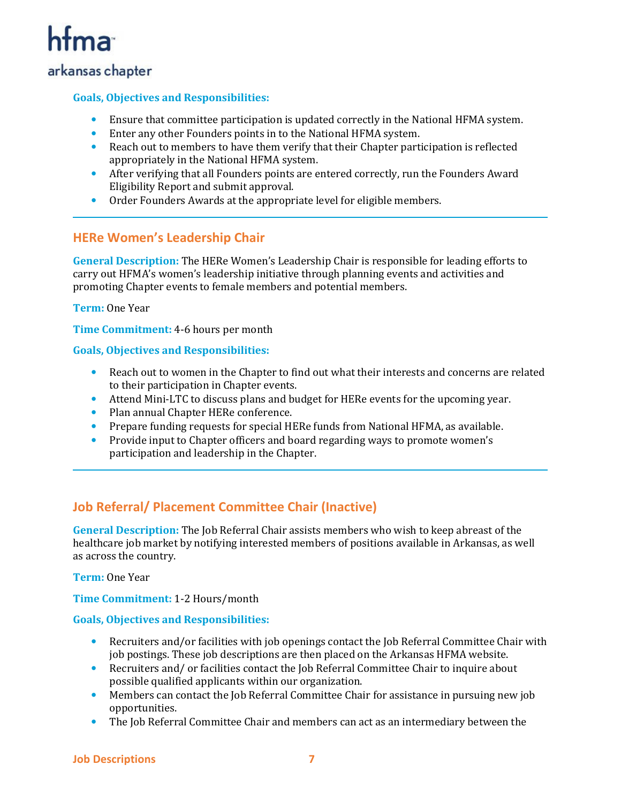## htma

## arkansas chapter

#### **Goals, Objectives and Responsibilities:**

- Ensure that committee participation is updated correctly in the National HFMA system.
- Enter any other Founders points in to the National HFMA system.
- Reach out to members to have them verify that their Chapter participation is reflected appropriately in the National HFMA system.
- After verifying that all Founders points are entered correctly, run the Founders Award Eligibility Report and submit approval.
- Order Founders Awards at the appropriate level for eligible members.

### **HERe Women's Leadership Chair**

**General Description:** The HERe Women's Leadership Chair is responsible for leading efforts to carry out HFMA's women's leadership initiative through planning events and activities and promoting Chapter events to female members and potential members.

#### **Term:** One Year

**Time Commitment:** 4-6 hours per month

#### **Goals, Objectives and Responsibilities:**

- Reach out to women in the Chapter to find out what their interests and concerns are related to their participation in Chapter events.
- Attend Mini-LTC to discuss plans and budget for HERe events for the upcoming year.
- Plan annual Chapter HERe conference.
- Prepare funding requests for special HERe funds from National HFMA, as available.
- Provide input to Chapter officers and board regarding ways to promote women's participation and leadership in the Chapter.

## **Job Referral/ Placement Committee Chair (Inactive)**

**General Description:** The Job Referral Chair assists members who wish to keep abreast of the healthcare job market by notifying interested members of positions available in Arkansas, as well as across the country.

**Term:** One Year

**Time Commitment:** 1-2 Hours/month

- Recruiters and/or facilities with job openings contact the Job Referral Committee Chair with job postings. These job descriptions are then placed on the Arkansas HFMA website.
- Recruiters and/ or facilities contact the Job Referral Committee Chair to inquire about possible qualified applicants within our organization.
- Members can contact the Job Referral Committee Chair for assistance in pursuing new job opportunities.
- The Job Referral Committee Chair and members can act as an intermediary between the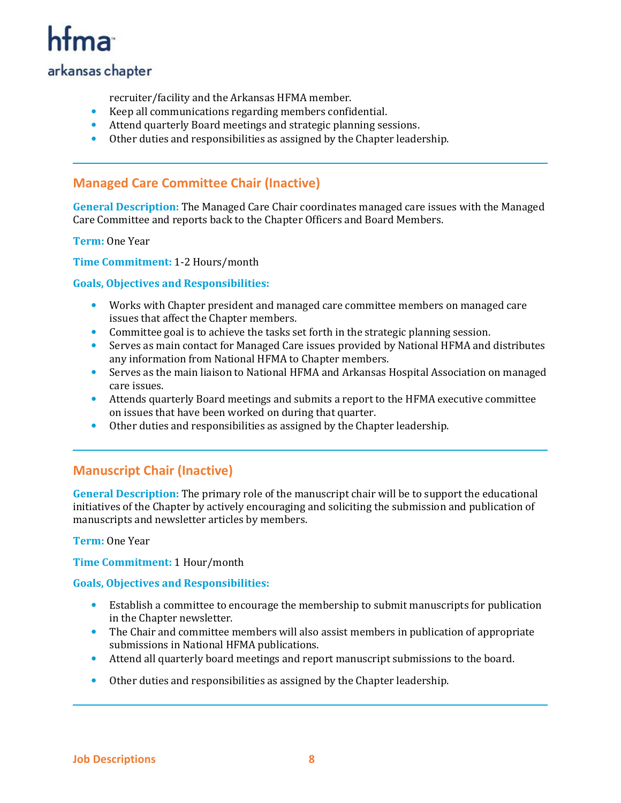## htma

## arkansas chapter

recruiter/facility and the Arkansas HFMA member.

- Keep all communications regarding members confidential.
- Attend quarterly Board meetings and strategic planning sessions.
- Other duties and responsibilities as assigned by the Chapter leadership.

### **Managed Care Committee Chair (Inactive)**

**General Description:** The Managed Care Chair coordinates managed care issues with the Managed Care Committee and reports back to the Chapter Officers and Board Members.

**Term:** One Year

**Time Commitment:** 1-2 Hours/month

#### **Goals, Objectives and Responsibilities:**

- Works with Chapter president and managed care committee members on managed care issues that affect the Chapter members.
- Committee goal is to achieve the tasks set forth in the strategic planning session.
- Serves as main contact for Managed Care issues provided by National HFMA and distributes any information from National HFMA to Chapter members.
- Serves as the main liaison to National HFMA and Arkansas Hospital Association on managed care issues.
- Attends quarterly Board meetings and submits a report to the HFMA executive committee on issues that have been worked on during that quarter.
- Other duties and responsibilities as assigned by the Chapter leadership.

## **Manuscript Chair (Inactive)**

**General Description:** The primary role of the manuscript chair will be to support the educational initiatives of the Chapter by actively encouraging and soliciting the submission and publication of manuscripts and newsletter articles by members.

**Term:** One Year

**Time Commitment:** 1 Hour/month

- Establish a committee to encourage the membership to submit manuscripts for publication in the Chapter newsletter.
- The Chair and committee members will also assist members in publication of appropriate submissions in National HFMA publications.
- Attend all quarterly board meetings and report manuscript submissions to the board.
- Other duties and responsibilities as assigned by the Chapter leadership.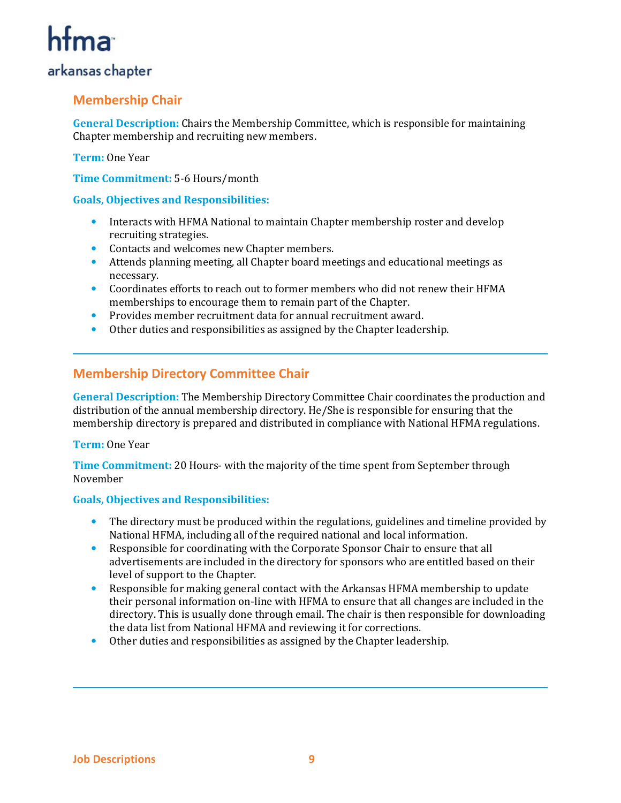## arkansas chapter

## **Membership Chair**

**General Description:** Chairs the Membership Committee, which is responsible for maintaining Chapter membership and recruiting new members.

#### **Term:** One Year

**Time Commitment:** 5-6 Hours/month

#### **Goals, Objectives and Responsibilities:**

- Interacts with HFMA National to maintain Chapter membership roster and develop recruiting strategies.
- Contacts and welcomes new Chapter members.
- Attends planning meeting, all Chapter board meetings and educational meetings as necessary.
- Coordinates efforts to reach out to former members who did not renew their HFMA memberships to encourage them to remain part of the Chapter.
- Provides member recruitment data for annual recruitment award.
- Other duties and responsibilities as assigned by the Chapter leadership.

## **Membership Directory Committee Chair**

**General Description:** The Membership Directory Committee Chair coordinates the production and distribution of the annual membership directory. He/She is responsible for ensuring that the membership directory is prepared and distributed in compliance with National HFMA regulations.

#### **Term:** One Year

**Time Commitment:** 20 Hours- with the majority of the time spent from September through November

- The directory must be produced within the regulations, guidelines and timeline provided by National HFMA, including all of the required national and local information.
- Responsible for coordinating with the Corporate Sponsor Chair to ensure that all advertisements are included in the directory for sponsors who are entitled based on their level of support to the Chapter.
- Responsible for making general contact with the Arkansas HFMA membership to update their personal information on-line with HFMA to ensure that all changes are included in the directory. This is usually done through email. The chair is then responsible for downloading the data list from National HFMA and reviewing it for corrections.
- Other duties and responsibilities as assigned by the Chapter leadership.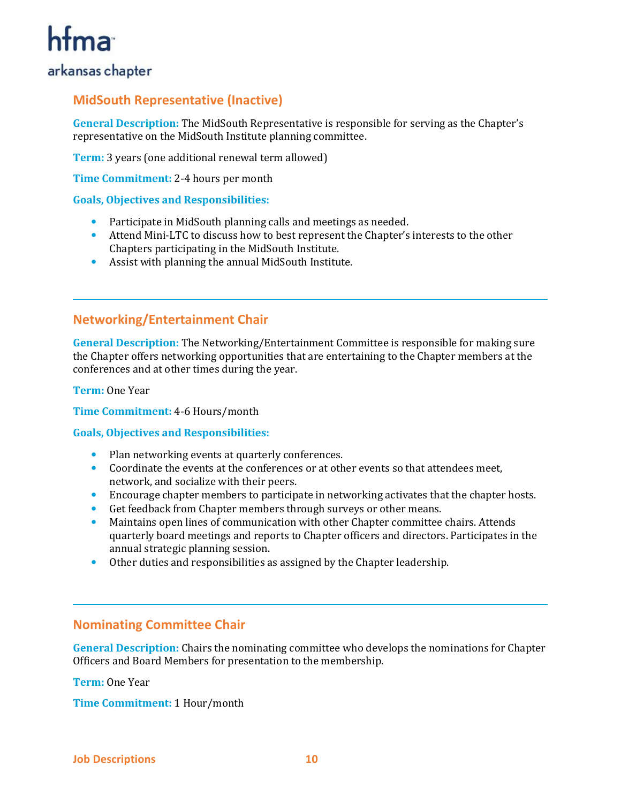## arkansas chapter

## **MidSouth Representative (Inactive)**

**General Description:** The MidSouth Representative is responsible for serving as the Chapter's representative on the MidSouth Institute planning committee.

**Term:** 3 years (one additional renewal term allowed)

**Time Commitment:** 2-4 hours per month

#### **Goals, Objectives and Responsibilities:**

- Participate in MidSouth planning calls and meetings as needed.
- Attend Mini-LTC to discuss how to best represent the Chapter's interests to the other Chapters participating in the MidSouth Institute.
- Assist with planning the annual MidSouth Institute.

### **Networking/Entertainment Chair**

**General Description:** The Networking/Entertainment Committee is responsible for making sure the Chapter offers networking opportunities that are entertaining to the Chapter members at the conferences and at other times during the year.

**Term:** One Year

**Time Commitment:** 4-6 Hours/month

#### **Goals, Objectives and Responsibilities:**

- Plan networking events at quarterly conferences.
- Coordinate the events at the conferences or at other events so that attendees meet, network, and socialize with their peers.
- Encourage chapter members to participate in networking activates that the chapter hosts.
- Get feedback from Chapter members through surveys or other means.
- Maintains open lines of communication with other Chapter committee chairs. Attends quarterly board meetings and reports to Chapter officers and directors. Participates in the annual strategic planning session.
- Other duties and responsibilities as assigned by the Chapter leadership.

#### **Nominating Committee Chair**

**General Description:** Chairs the nominating committee who develops the nominations for Chapter Officers and Board Members for presentation to the membership.

**Term:** One Year

**Time Commitment:** 1 Hour/month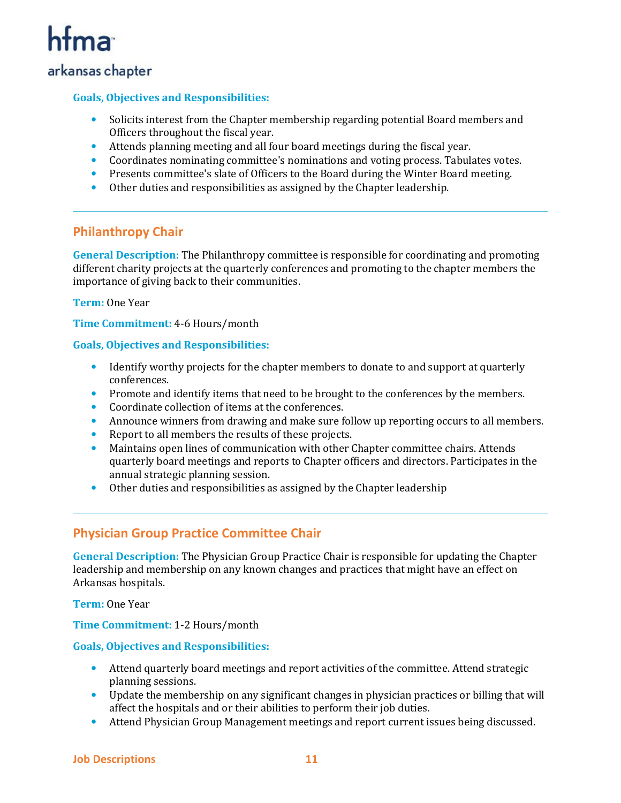## htma

## arkansas chapter

#### **Goals, Objectives and Responsibilities:**

- Solicits interest from the Chapter membership regarding potential Board members and Officers throughout the fiscal year.
- Attends planning meeting and all four board meetings during the fiscal year.
- Coordinates nominating committee's nominations and voting process. Tabulates votes.
- Presents committee's slate of Officers to the Board during the Winter Board meeting.
- Other duties and responsibilities as assigned by the Chapter leadership.

## **Philanthropy Chair**

**General Description:** The Philanthropy committee is responsible for coordinating and promoting different charity projects at the quarterly conferences and promoting to the chapter members the importance of giving back to their communities.

**Term:** One Year

**Time Commitment:** 4-6 Hours/month

#### **Goals, Objectives and Responsibilities:**

- Identify worthy projects for the chapter members to donate to and support at quarterly conferences.
- Promote and identify items that need to be brought to the conferences by the members.
- Coordinate collection of items at the conferences.
- Announce winners from drawing and make sure follow up reporting occurs to all members.
- Report to all members the results of these projects.
- Maintains open lines of communication with other Chapter committee chairs. Attends quarterly board meetings and reports to Chapter officers and directors. Participates in the annual strategic planning session.
- Other duties and responsibilities as assigned by the Chapter leadership

## **Physician Group Practice Committee Chair**

**General Description:** The Physician Group Practice Chair is responsible for updating the Chapter leadership and membership on any known changes and practices that might have an effect on Arkansas hospitals.

**Term:** One Year

**Time Commitment:** 1-2 Hours/month

- Attend quarterly board meetings and report activities of the committee. Attend strategic planning sessions.
- Update the membership on any significant changes in physician practices or billing that will affect the hospitals and or their abilities to perform their job duties.
- Attend Physician Group Management meetings and report current issues being discussed.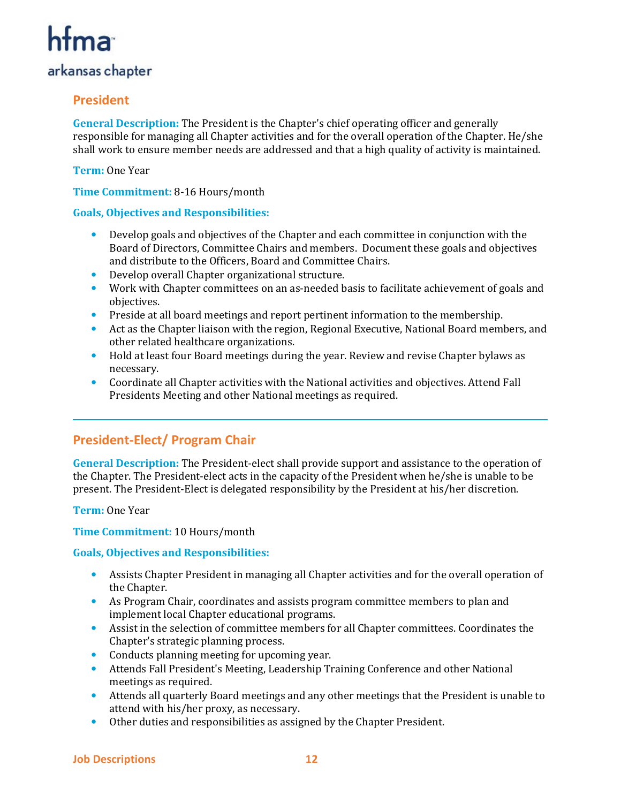## arkansas chapter

## **President**

**General Description:** The President is the Chapter's chief operating officer and generally responsible for managing all Chapter activities and for the overall operation of the Chapter. He/she shall work to ensure member needs are addressed and that a high quality of activity is maintained.

**Term:** One Year

**Time Commitment:** 8-16 Hours/month

#### **Goals, Objectives and Responsibilities:**

- Develop goals and objectives of the Chapter and each committee in conjunction with the Board of Directors, Committee Chairs and members. Document these goals and objectives and distribute to the Officers, Board and Committee Chairs.
- Develop overall Chapter organizational structure.
- Work with Chapter committees on an as-needed basis to facilitate achievement of goals and objectives.
- Preside at all board meetings and report pertinent information to the membership.
- Act as the Chapter liaison with the region, Regional Executive, National Board members, and other related healthcare organizations.
- Hold at least four Board meetings during the year. Review and revise Chapter bylaws as necessary.
- Coordinate all Chapter activities with the National activities and objectives. Attend Fall Presidents Meeting and other National meetings as required.

## **President-Elect/ Program Chair**

**General Description:** The President-elect shall provide support and assistance to the operation of the Chapter. The President-elect acts in the capacity of the President when he/she is unable to be present. The President-Elect is delegated responsibility by the President at his/her discretion.

**Term:** One Year

#### **Time Commitment:** 10 Hours/month

- Assists Chapter President in managing all Chapter activities and for the overall operation of the Chapter.
- As Program Chair, coordinates and assists program committee members to plan and implement local Chapter educational programs.
- Assist in the selection of committee members for all Chapter committees. Coordinates the Chapter's strategic planning process.
- Conducts planning meeting for upcoming year.
- Attends Fall President's Meeting, Leadership Training Conference and other National meetings as required.
- Attends all quarterly Board meetings and any other meetings that the President is unable to attend with his/her proxy, as necessary.
- Other duties and responsibilities as assigned by the Chapter President.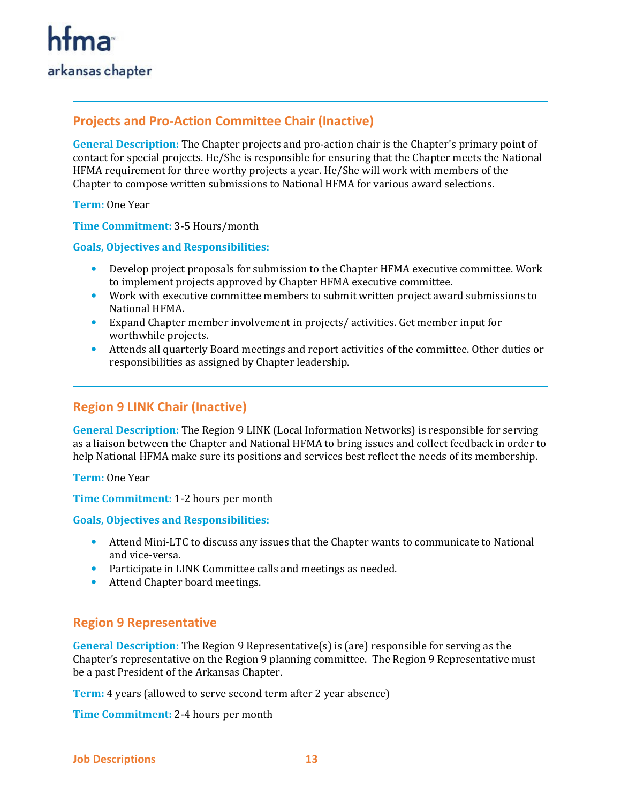## **Projects and Pro-Action Committee Chair (Inactive)**

**General Description:** The Chapter projects and pro-action chair is the Chapter's primary point of contact for special projects. He/She is responsible for ensuring that the Chapter meets the National HFMA requirement for three worthy projects a year. He/She will work with members of the Chapter to compose written submissions to National HFMA for various award selections.

**Term:** One Year

**Time Commitment:** 3-5 Hours/month

#### **Goals, Objectives and Responsibilities:**

- Develop project proposals for submission to the Chapter HFMA executive committee. Work to implement projects approved by Chapter HFMA executive committee.
- Work with executive committee members to submit written project award submissions to National HFMA.
- Expand Chapter member involvement in projects/ activities. Get member input for worthwhile projects.
- Attends all quarterly Board meetings and report activities of the committee. Other duties or responsibilities as assigned by Chapter leadership.

## **Region 9 LINK Chair (Inactive)**

**General Description:** The Region 9 LINK (Local Information Networks) is responsible for serving as a liaison between the Chapter and National HFMA to bring issues and collect feedback in order to help National HFMA make sure its positions and services best reflect the needs of its membership.

**Term:** One Year

**Time Commitment:** 1-2 hours per month

#### **Goals, Objectives and Responsibilities:**

- Attend Mini-LTC to discuss any issues that the Chapter wants to communicate to National and vice-versa.
- Participate in LINK Committee calls and meetings as needed.
- Attend Chapter board meetings.

## **Region 9 Representative**

**General Description:** The Region 9 Representative(s) is (are) responsible for serving as the Chapter's representative on the Region 9 planning committee. The Region 9 Representative must be a past President of the Arkansas Chapter.

**Term:** 4 years (allowed to serve second term after 2 year absence)

**Time Commitment:** 2-4 hours per month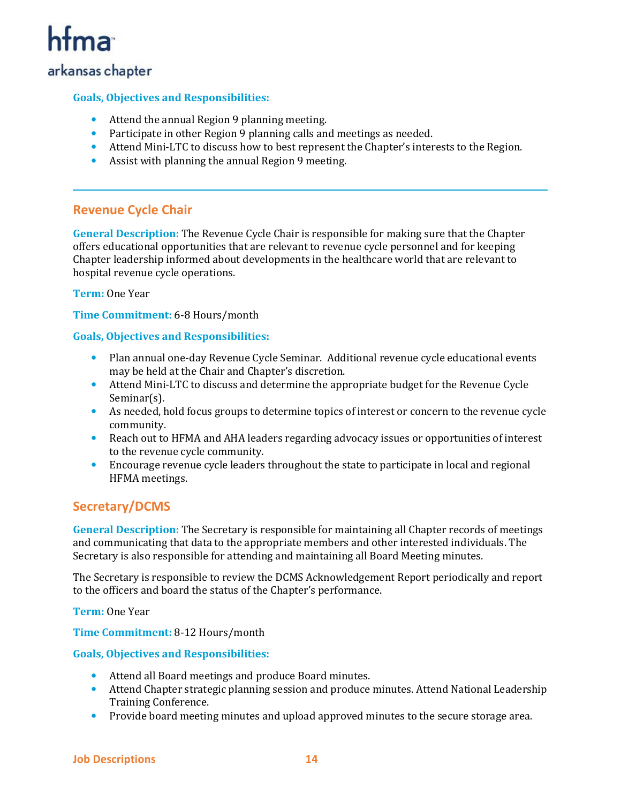## arkansas chapter

#### **Goals, Objectives and Responsibilities:**

- Attend the annual Region 9 planning meeting.
- Participate in other Region 9 planning calls and meetings as needed.
- Attend Mini-LTC to discuss how to best represent the Chapter's interests to the Region.
- Assist with planning the annual Region 9 meeting.

#### **Revenue Cycle Chair**

**General Description:** The Revenue Cycle Chair is responsible for making sure that the Chapter offers educational opportunities that are relevant to revenue cycle personnel and for keeping Chapter leadership informed about developments in the healthcare world that are relevant to hospital revenue cycle operations.

#### **Term:** One Year

**Time Commitment:** 6-8 Hours/month

#### **Goals, Objectives and Responsibilities:**

- Plan annual one-day Revenue Cycle Seminar. Additional revenue cycle educational events may be held at the Chair and Chapter's discretion.
- Attend Mini-LTC to discuss and determine the appropriate budget for the Revenue Cycle Seminar(s).
- As needed, hold focus groups to determine topics of interest or concern to the revenue cycle community.
- Reach out to HFMA and AHA leaders regarding advocacy issues or opportunities of interest to the revenue cycle community.
- Encourage revenue cycle leaders throughout the state to participate in local and regional HFMA meetings.

## **Secretary/DCMS**

**General Description:** The Secretary is responsible for maintaining all Chapter records of meetings and communicating that data to the appropriate members and other interested individuals. The Secretary is also responsible for attending and maintaining all Board Meeting minutes.

The Secretary is responsible to review the DCMS Acknowledgement Report periodically and report to the officers and board the status of the Chapter's performance.

**Term:** One Year

**Time Commitment:** 8-12 Hours/month

- Attend all Board meetings and produce Board minutes.
- Attend Chapter strategic planning session and produce minutes. Attend National Leadership Training Conference.
- Provide board meeting minutes and upload approved minutes to the secure storage area.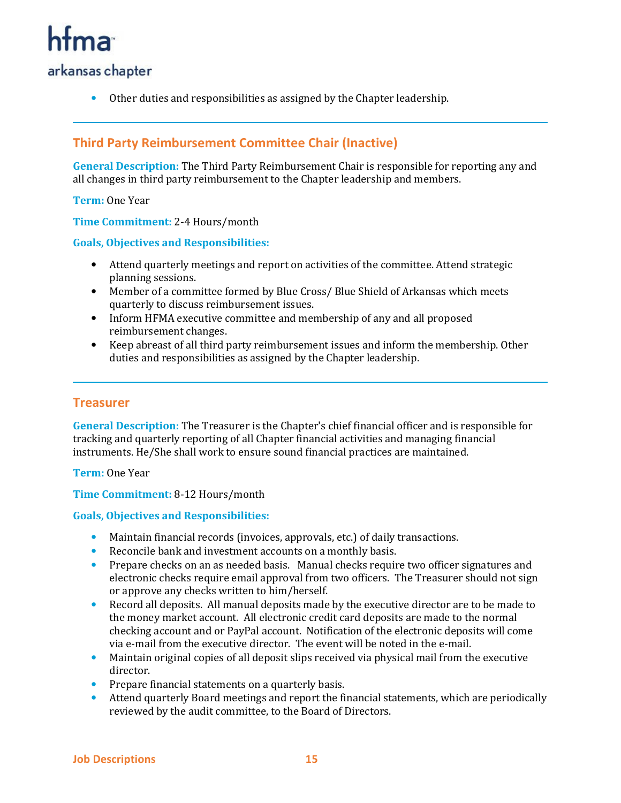## arkansas chapter

• Other duties and responsibilities as assigned by the Chapter leadership.

## **Third Party Reimbursement Committee Chair (Inactive)**

**General Description:** The Third Party Reimbursement Chair is responsible for reporting any and all changes in third party reimbursement to the Chapter leadership and members.

**Term:** One Year

**Time Commitment:** 2-4 Hours/month

#### **Goals, Objectives and Responsibilities:**

- Attend quarterly meetings and report on activities of the committee. Attend strategic planning sessions.
- Member of a committee formed by Blue Cross/ Blue Shield of Arkansas which meets quarterly to discuss reimbursement issues.
- Inform HFMA executive committee and membership of any and all proposed reimbursement changes.
- Keep abreast of all third party reimbursement issues and inform the membership. Other duties and responsibilities as assigned by the Chapter leadership.

#### **Treasurer**

**General Description:** The Treasurer is the Chapter's chief financial officer and is responsible for tracking and quarterly reporting of all Chapter financial activities and managing financial instruments. He/She shall work to ensure sound financial practices are maintained.

**Term:** One Year

#### **Time Commitment:** 8-12 Hours/month

- Maintain financial records (invoices, approvals, etc.) of daily transactions.
- Reconcile bank and investment accounts on a monthly basis.
- Prepare checks on an as needed basis. Manual checks require two officer signatures and electronic checks require email approval from two officers. The Treasurer should not sign or approve any checks written to him/herself.
- Record all deposits. All manual deposits made by the executive director are to be made to the money market account. All electronic credit card deposits are made to the normal checking account and or PayPal account. Notification of the electronic deposits will come via e-mail from the executive director. The event will be noted in the e-mail.
- Maintain original copies of all deposit slips received via physical mail from the executive director.
- Prepare financial statements on a quarterly basis.
- Attend quarterly Board meetings and report the financial statements, which are periodically reviewed by the audit committee, to the Board of Directors.